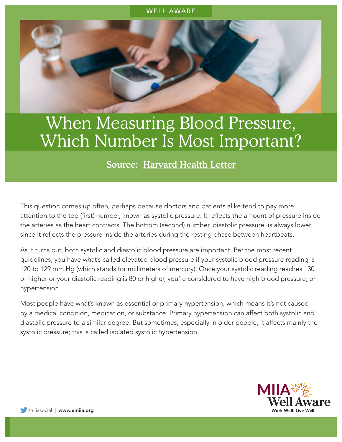## WELL AWARE

## When Measuring Blood Pressure, Which Number Is Most Important?

## Source: [Harvard Health Letter](https://www.health.harvard.edu/heart-health/blood-pressure-the-second-number-matters-too)

This question comes up often, perhaps because doctors and patients alike tend to pay more attention to the top (first) number, known as systolic pressure. It reflects the amount of pressure inside the arteries as the heart contracts. The bottom (second) number, diastolic pressure, is always lower since it reflects the pressure inside the arteries during the resting phase between heartbeats.

As it turns out, both systolic and diastolic blood pressure are important. Per the most recent guidelines, you have what's called elevated blood pressure if your systolic blood pressure reading is 120 to 129 mm Hg (which stands for millimeters of mercury). Once your systolic reading reaches 130 or higher or your diastolic reading is 80 or higher, you're considered to have high blood pressure, or hypertension.

Most people have what's known as essential or primary hypertension, which means it's not caused by a medical condition, medication, or substance. Primary hypertension can affect both systolic and diastolic pressure to a similar degree. But sometimes, especially in older people, it affects mainly the systolic pressure; this is called isolated systolic hypertension.